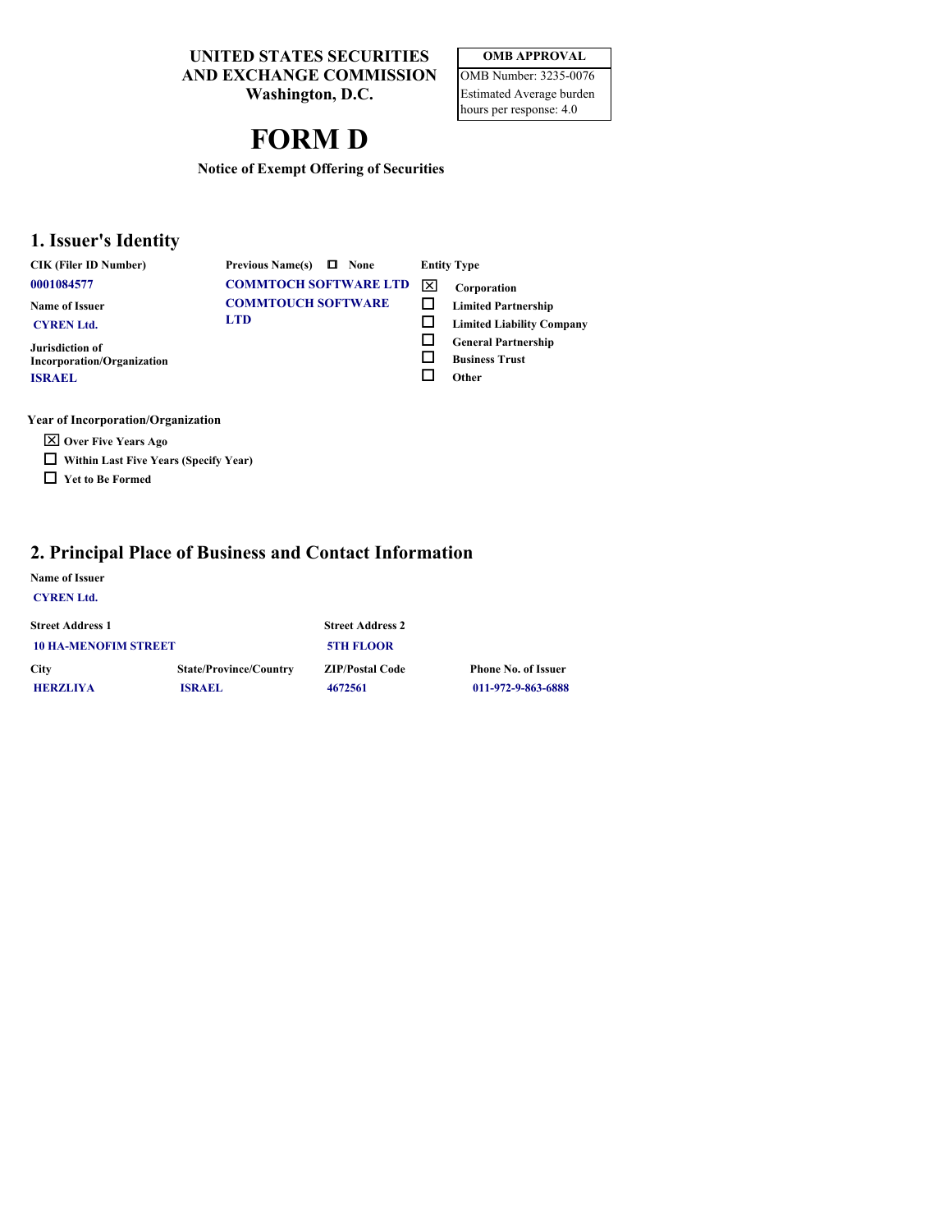**UNITED STATES SECURITIES AND EXCHANGE COMMISSION**

**Washington, D.C.**

# **FORM D**

| <b>OMB APPROVAL</b>             |
|---------------------------------|
| OMB Number: 3235-0076           |
| <b>Estimated Average burden</b> |
| hours per response: 4.0         |

**Notice of Exempt Offering of Securities**

# **1. Issuer's Identity**

**CIK (Filer ID Number) Previous Name(s)**  $\Box$  None

**Jurisdiction of**

**ISRAEL**

**COMMTOCH SOFTWARE LTD**  $\boxed{\times}$  Corporation **COMMTOUCH SOFTWARE Name of Issuer LTD Limited Liability Company CYREN Ltd.**

**None Entity Type Corporation** o **Limited Partnership**

- o
- o **General Partnership**
- o **Business Trust**
- o **Other**

**Year of Incorporation/Organization**

- **X** Over Five Years Ago
- $\Box$  Within Last Five Years (Specify Year)
- **D** Yet to Be Formed

**Incorporation/Organization**

# **2. Principal Place of Business and Contact Information**

# **Name of Issuer**

| <b>CYREN Ltd.</b> |  |
|-------------------|--|
|-------------------|--|

| <b>Street Address 1</b>     |                               | <b>Street Address 2</b> |                            |
|-----------------------------|-------------------------------|-------------------------|----------------------------|
| <b>10 HA-MENOFIM STREET</b> |                               | <b>5TH FLOOR</b>        |                            |
| <b>City</b>                 | <b>State/Province/Country</b> | <b>ZIP/Postal Code</b>  | <b>Phone No. of Issuer</b> |
| <b>HERZLIYA</b>             | ISRAEL                        | 4672561                 | 011-972-9-863-6888         |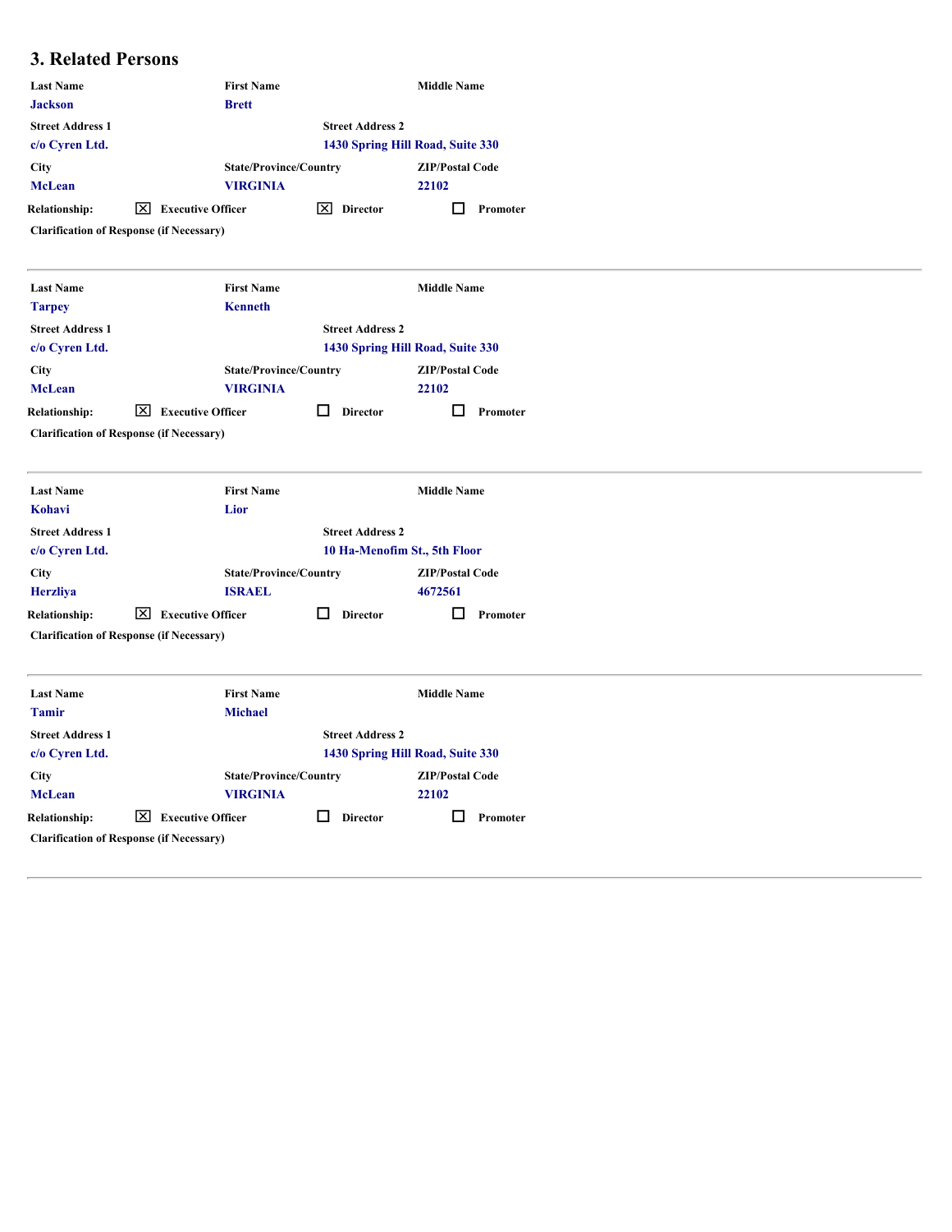# **3. Related Persons**

| <b>Last Name</b>                          | <b>First Name</b>                               |                           | <b>Middle Name</b>               |
|-------------------------------------------|-------------------------------------------------|---------------------------|----------------------------------|
| <b>Jackson</b><br><b>Street Address 1</b> | <b>Brett</b>                                    | <b>Street Address 2</b>   |                                  |
| c/o Cyren Ltd.                            |                                                 |                           | 1430 Spring Hill Road, Suite 330 |
| City                                      | <b>State/Province/Country</b>                   |                           | <b>ZIP/Postal Code</b>           |
| <b>McLean</b>                             | <b>VIRGINIA</b>                                 |                           | 22102                            |
| <b>Relationship:</b>                      | ⊠<br><b>Executive Officer</b>                   | $\boxed{\times}$ Director | 0<br>Promoter                    |
|                                           | <b>Clarification of Response (if Necessary)</b> |                           |                                  |
| <b>Last Name</b><br><b>Tarpey</b>         | <b>First Name</b><br><b>Kenneth</b>             |                           | <b>Middle Name</b>               |
| <b>Street Address 1</b>                   |                                                 | <b>Street Address 2</b>   |                                  |
| c/o Cyren Ltd.                            |                                                 |                           | 1430 Spring Hill Road, Suite 330 |
| City                                      | <b>State/Province/Country</b>                   |                           | <b>ZIP/Postal Code</b>           |
| <b>McLean</b>                             | <b>VIRGINIA</b>                                 |                           | 22102                            |
| <b>Relationship:</b>                      | $\boxed{\times}$ Executive Officer              | $\Box$ Director           | $\Box$ Promoter                  |
|                                           | <b>Clarification of Response (if Necessary)</b> |                           |                                  |
| <b>Last Name</b>                          | <b>First Name</b>                               |                           | <b>Middle Name</b>               |
| Kohavi                                    | Lior                                            |                           |                                  |
| <b>Street Address 1</b><br>c/o Cyren Ltd. |                                                 | <b>Street Address 2</b>   | 10 Ha-Menofim St., 5th Floor     |
| City                                      | <b>State/Province/Country</b>                   |                           | <b>ZIP/Postal Code</b>           |
| <b>Herzliya</b>                           | <b>ISRAEL</b>                                   |                           | 4672561                          |
| <b>Relationship:</b>                      | $\boxed{\times}$ Executive Officer              | 0<br><b>Director</b>      | ◻<br>Promoter                    |
|                                           | <b>Clarification of Response (if Necessary)</b> |                           |                                  |
| <b>Last Name</b><br><b>Tamir</b>          | <b>First Name</b><br><b>Michael</b>             |                           | <b>Middle Name</b>               |
| <b>Street Address 1</b>                   |                                                 | <b>Street Address 2</b>   |                                  |
| c/o Cyren Ltd.                            |                                                 |                           | 1430 Spring Hill Road, Suite 330 |
| <b>City</b>                               | <b>State/Province/Country</b>                   |                           | <b>ZIP/Postal Code</b>           |
| <b>McLean</b>                             | <b>VIRGINIA</b>                                 |                           | 22102                            |
| <b>Relationship:</b>                      | $\boxed{\times}$ Executive Officer              | $\Box$<br><b>Director</b> | $\Box$ Promoter                  |
|                                           | <b>Clarification of Response (if Necessary)</b> |                           |                                  |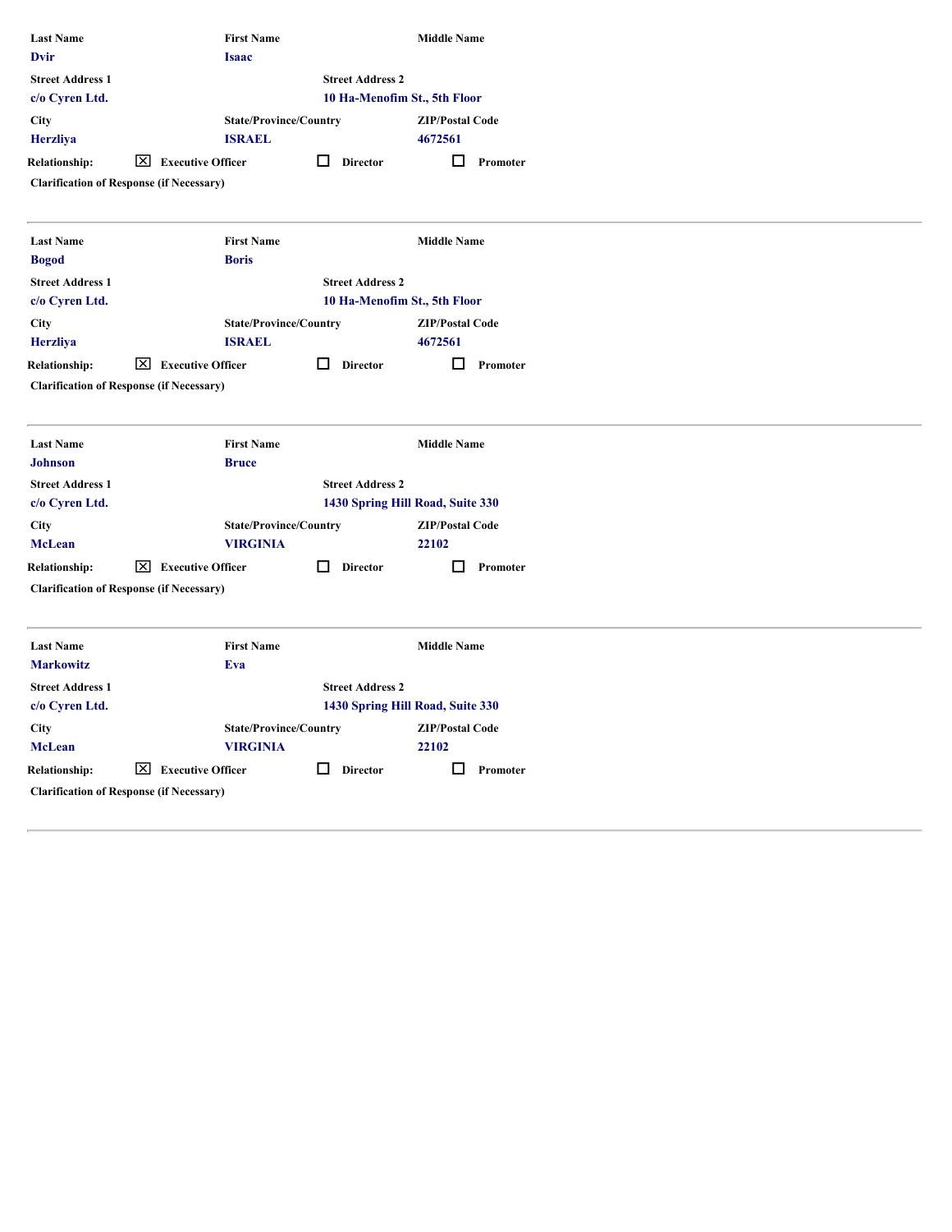| <b>First Name</b>                  |                                                                                                                                                                                                                 | <b>Middle Name</b>                                                                                                               |                                                                                                                                                                                                                                                                                              |
|------------------------------------|-----------------------------------------------------------------------------------------------------------------------------------------------------------------------------------------------------------------|----------------------------------------------------------------------------------------------------------------------------------|----------------------------------------------------------------------------------------------------------------------------------------------------------------------------------------------------------------------------------------------------------------------------------------------|
|                                    |                                                                                                                                                                                                                 |                                                                                                                                  |                                                                                                                                                                                                                                                                                              |
| <b>ISRAEL</b>                      |                                                                                                                                                                                                                 | <b>ZIP/Postal Code</b><br>4672561                                                                                                |                                                                                                                                                                                                                                                                                              |
| $\boxed{\times}$ Executive Officer | $\Box$ Director                                                                                                                                                                                                 | $\Box$<br>Promoter                                                                                                               |                                                                                                                                                                                                                                                                                              |
| <b>First Name</b><br><b>Boris</b>  |                                                                                                                                                                                                                 | <b>Middle Name</b>                                                                                                               |                                                                                                                                                                                                                                                                                              |
|                                    |                                                                                                                                                                                                                 |                                                                                                                                  |                                                                                                                                                                                                                                                                                              |
| <b>ISRAEL</b>                      |                                                                                                                                                                                                                 | <b>ZIP/Postal Code</b><br>4672561                                                                                                |                                                                                                                                                                                                                                                                                              |
| $\boxed{\times}$ Executive Officer | $\Box$ Director                                                                                                                                                                                                 | □<br>Promoter                                                                                                                    |                                                                                                                                                                                                                                                                                              |
|                                    |                                                                                                                                                                                                                 |                                                                                                                                  |                                                                                                                                                                                                                                                                                              |
| <b>Bruce</b>                       |                                                                                                                                                                                                                 |                                                                                                                                  |                                                                                                                                                                                                                                                                                              |
|                                    |                                                                                                                                                                                                                 |                                                                                                                                  |                                                                                                                                                                                                                                                                                              |
| <b>VIRGINIA</b>                    |                                                                                                                                                                                                                 | <b>ZIP/Postal Code</b><br>22102                                                                                                  |                                                                                                                                                                                                                                                                                              |
| $\boxed{\times}$ Executive Officer | $\Box$ Director                                                                                                                                                                                                 | $\Box$ Promoter                                                                                                                  |                                                                                                                                                                                                                                                                                              |
|                                    |                                                                                                                                                                                                                 |                                                                                                                                  |                                                                                                                                                                                                                                                                                              |
| Eva                                |                                                                                                                                                                                                                 |                                                                                                                                  |                                                                                                                                                                                                                                                                                              |
|                                    |                                                                                                                                                                                                                 |                                                                                                                                  |                                                                                                                                                                                                                                                                                              |
|                                    |                                                                                                                                                                                                                 | <b>ZIP/Postal Code</b>                                                                                                           |                                                                                                                                                                                                                                                                                              |
| <b>VIRGINIA</b>                    |                                                                                                                                                                                                                 | 22102                                                                                                                            |                                                                                                                                                                                                                                                                                              |
| $\boxed{\times}$ Executive Officer | $\Box$ Director                                                                                                                                                                                                 | $\Box$<br>Promoter                                                                                                               |                                                                                                                                                                                                                                                                                              |
|                                    | <b>Isaac</b><br><b>Clarification of Response (if Necessary)</b><br><b>Clarification of Response (if Necessary)</b><br><b>First Name</b><br><b>Clarification of Response (if Necessary)</b><br><b>First Name</b> | <b>State/Province/Country</b><br><b>State/Province/Country</b><br><b>State/Province/Country</b><br><b>State/Province/Country</b> | <b>Street Address 2</b><br>10 Ha-Menofim St., 5th Floor<br><b>Street Address 2</b><br>10 Ha-Menofim St., 5th Floor<br><b>Middle Name</b><br><b>Street Address 2</b><br>1430 Spring Hill Road, Suite 330<br><b>Middle Name</b><br><b>Street Address 2</b><br>1430 Spring Hill Road, Suite 330 |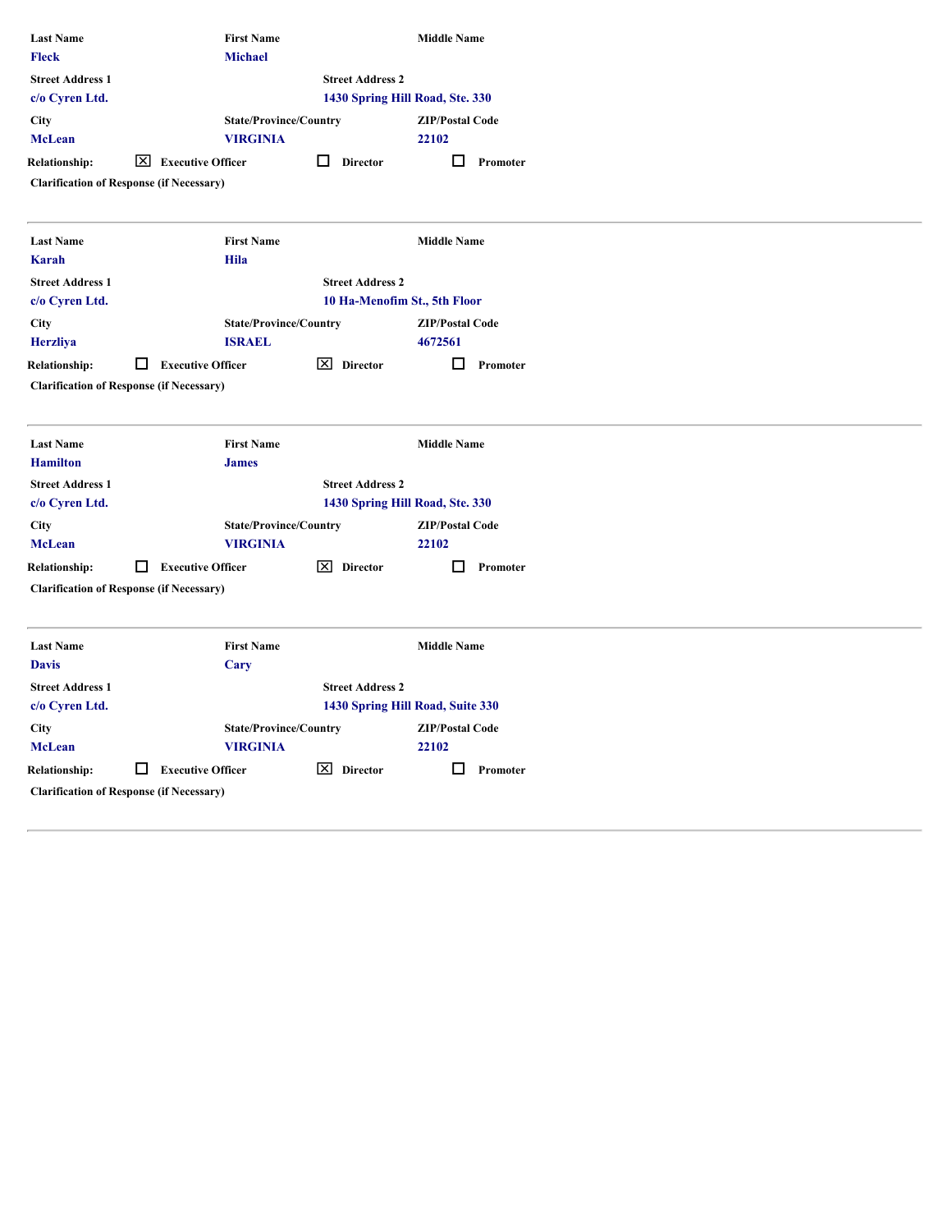| <b>Last Name</b><br><b>Fleck</b> | <b>First Name</b><br><b>Michael</b>              |                           | <b>Middle Name</b>               |  |
|----------------------------------|--------------------------------------------------|---------------------------|----------------------------------|--|
| <b>Street Address 1</b>          |                                                  | <b>Street Address 2</b>   |                                  |  |
| c/o Cyren Ltd.                   |                                                  |                           | 1430 Spring Hill Road, Ste. 330  |  |
| <b>City</b>                      | <b>State/Province/Country</b>                    |                           | <b>ZIP/Postal Code</b>           |  |
| <b>McLean</b>                    | <b>VIRGINIA</b>                                  |                           | 22102                            |  |
| <b>Relationship:</b>             | $\boxed{\times}$ Executive Officer               | $\Box$<br><b>Director</b> | $\Box$ Promoter                  |  |
|                                  | <b>Clarification of Response (if Necessary)</b>  |                           |                                  |  |
|                                  |                                                  |                           |                                  |  |
| <b>Last Name</b>                 | <b>First Name</b>                                |                           | <b>Middle Name</b>               |  |
| Karah                            | <b>Hila</b>                                      |                           |                                  |  |
| <b>Street Address 1</b>          |                                                  | <b>Street Address 2</b>   |                                  |  |
| c/o Cyren Ltd.                   |                                                  |                           | 10 Ha-Menofim St., 5th Floor     |  |
| City                             | <b>State/Province/Country</b>                    |                           | <b>ZIP/Postal Code</b>           |  |
| <b>Herzliya</b>                  | <b>ISRAEL</b>                                    |                           | 4672561                          |  |
| <b>Relationship:</b>             | $\Box$ Executive Officer                         | $\boxed{\times}$ Director | $\Box$<br>Promoter               |  |
|                                  | <b>Clarification of Response (if Necessary)</b>  |                           |                                  |  |
|                                  |                                                  |                           |                                  |  |
| <b>Last Name</b>                 | <b>First Name</b>                                |                           | <b>Middle Name</b>               |  |
| <b>Hamilton</b>                  | <b>James</b>                                     |                           |                                  |  |
| <b>Street Address 1</b>          |                                                  | <b>Street Address 2</b>   |                                  |  |
| c/o Cyren Ltd.                   |                                                  |                           | 1430 Spring Hill Road, Ste. 330  |  |
| <b>City</b><br><b>McLean</b>     | <b>State/Province/Country</b><br><b>VIRGINIA</b> |                           | <b>ZIP/Postal Code</b><br>22102  |  |
| <b>Relationship:</b>             | $\Box$ Executive Officer                         | X Director                | $\Box$ Promoter                  |  |
|                                  | <b>Clarification of Response (if Necessary)</b>  |                           |                                  |  |
|                                  |                                                  |                           |                                  |  |
| <b>Last Name</b>                 | <b>First Name</b>                                |                           | <b>Middle Name</b>               |  |
| <b>Davis</b>                     | <b>Cary</b>                                      |                           |                                  |  |
| <b>Street Address 1</b>          |                                                  | <b>Street Address 2</b>   |                                  |  |
| c/o Cyren Ltd.                   |                                                  |                           | 1430 Spring Hill Road, Suite 330 |  |
| <b>City</b>                      | <b>State/Province/Country</b>                    |                           | <b>ZIP/Postal Code</b>           |  |
| <b>McLean</b>                    | <b>VIRGINIA</b>                                  |                           | 22102                            |  |
| <b>Relationship:</b>             | $\Box$ Executive Officer                         | $\boxed{\times}$ Director | $\Box$<br>Promoter               |  |
|                                  | <b>Clarification of Response (if Necessary)</b>  |                           |                                  |  |
|                                  |                                                  |                           |                                  |  |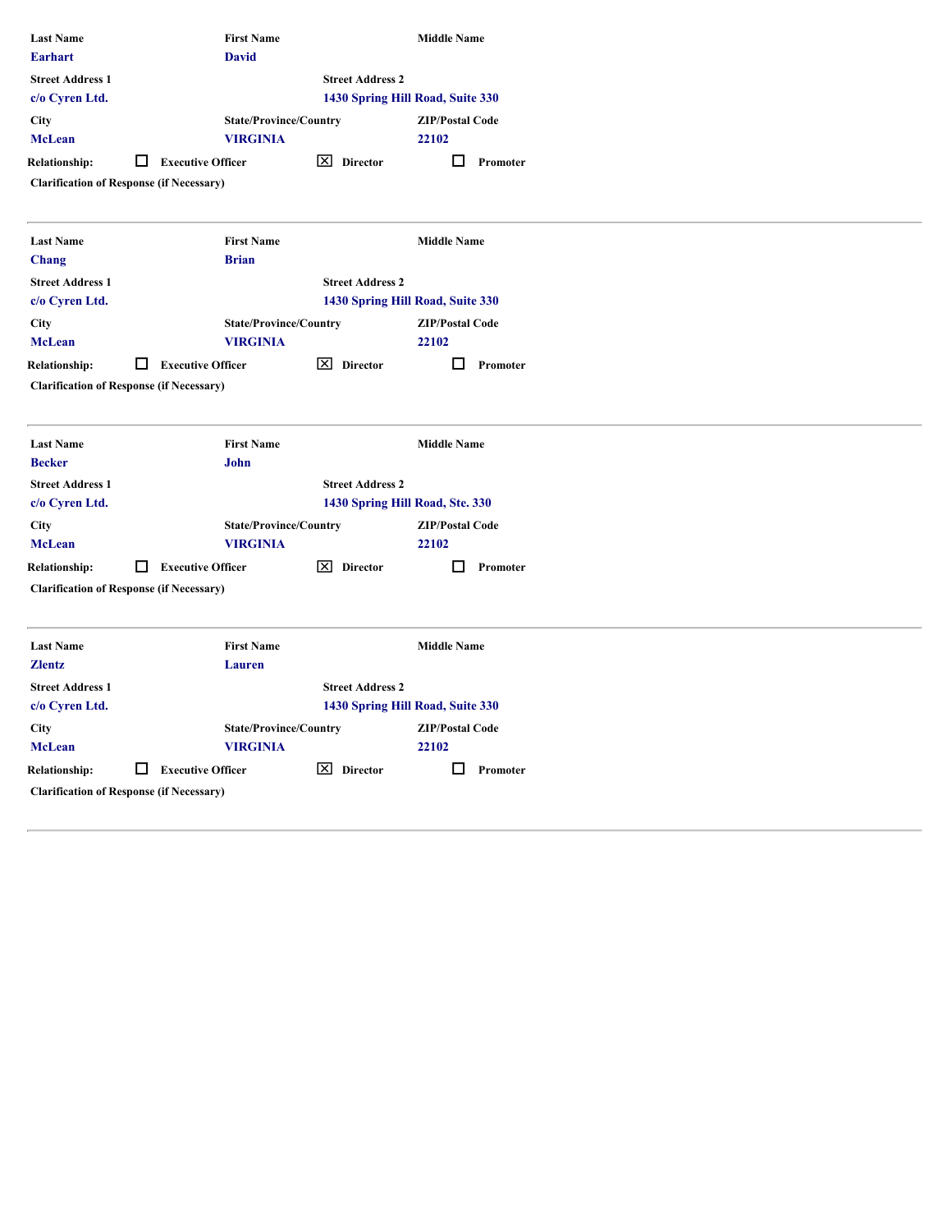| <b>Last Name</b><br><b>Earhart</b>        | <b>First Name</b><br><b>David</b>                                                |                           | <b>Middle Name</b>               |  |
|-------------------------------------------|----------------------------------------------------------------------------------|---------------------------|----------------------------------|--|
| <b>Street Address 1</b><br>c/o Cyren Ltd. |                                                                                  | <b>Street Address 2</b>   | 1430 Spring Hill Road, Suite 330 |  |
| <b>City</b><br><b>McLean</b>              | <b>State/Province/Country</b><br><b>VIRGINIA</b>                                 |                           | <b>ZIP/Postal Code</b><br>22102  |  |
| <b>Relationship:</b>                      | <b>Executive Officer</b><br>□<br><b>Clarification of Response (if Necessary)</b> | $\boxed{\times}$ Director | $\Box$ Promoter                  |  |
| <b>Last Name</b><br>Chang                 | <b>First Name</b><br><b>Brian</b>                                                |                           | <b>Middle Name</b>               |  |
| <b>Street Address 1</b><br>c/o Cyren Ltd. |                                                                                  | <b>Street Address 2</b>   | 1430 Spring Hill Road, Suite 330 |  |
| <b>City</b><br><b>McLean</b>              | <b>State/Province/Country</b><br><b>VIRGINIA</b>                                 |                           | <b>ZIP/Postal Code</b><br>22102  |  |
| <b>Relationship:</b>                      | $\Box$ Executive Officer<br><b>Clarification of Response (if Necessary)</b>      | $\boxed{\times}$ Director | $\Box$ Promoter                  |  |
|                                           |                                                                                  |                           |                                  |  |
| <b>Last Name</b><br><b>Becker</b>         | <b>First Name</b><br>John                                                        |                           | <b>Middle Name</b>               |  |
| <b>Street Address 1</b><br>c/o Cyren Ltd. |                                                                                  | <b>Street Address 2</b>   | 1430 Spring Hill Road, Ste. 330  |  |
| <b>City</b><br><b>McLean</b>              | <b>State/Province/Country</b><br><b>VIRGINIA</b>                                 |                           | <b>ZIP/Postal Code</b><br>22102  |  |
| <b>Relationship:</b>                      | □<br><b>Executive Officer</b><br><b>Clarification of Response (if Necessary)</b> | $\boxed{\times}$ Director | $\Box$ Promoter                  |  |
|                                           |                                                                                  |                           |                                  |  |
| <b>Last Name</b><br><b>Zlentz</b>         | <b>First Name</b><br>Lauren                                                      |                           | <b>Middle Name</b>               |  |
| <b>Street Address 1</b>                   |                                                                                  | <b>Street Address 2</b>   |                                  |  |
| c/o Cyren Ltd.                            |                                                                                  |                           | 1430 Spring Hill Road, Suite 330 |  |
| <b>City</b>                               | <b>State/Province/Country</b>                                                    |                           | <b>ZIP/Postal Code</b>           |  |
| <b>McLean</b>                             | <b>VIRGINIA</b>                                                                  |                           | 22102                            |  |
| <b>Relationship:</b>                      | $\Box$ Executive Officer                                                         | $\boxed{\times}$ Director | $\Box$ Promoter                  |  |
|                                           | <b>Clarification of Response (if Necessary)</b>                                  |                           |                                  |  |
|                                           |                                                                                  |                           |                                  |  |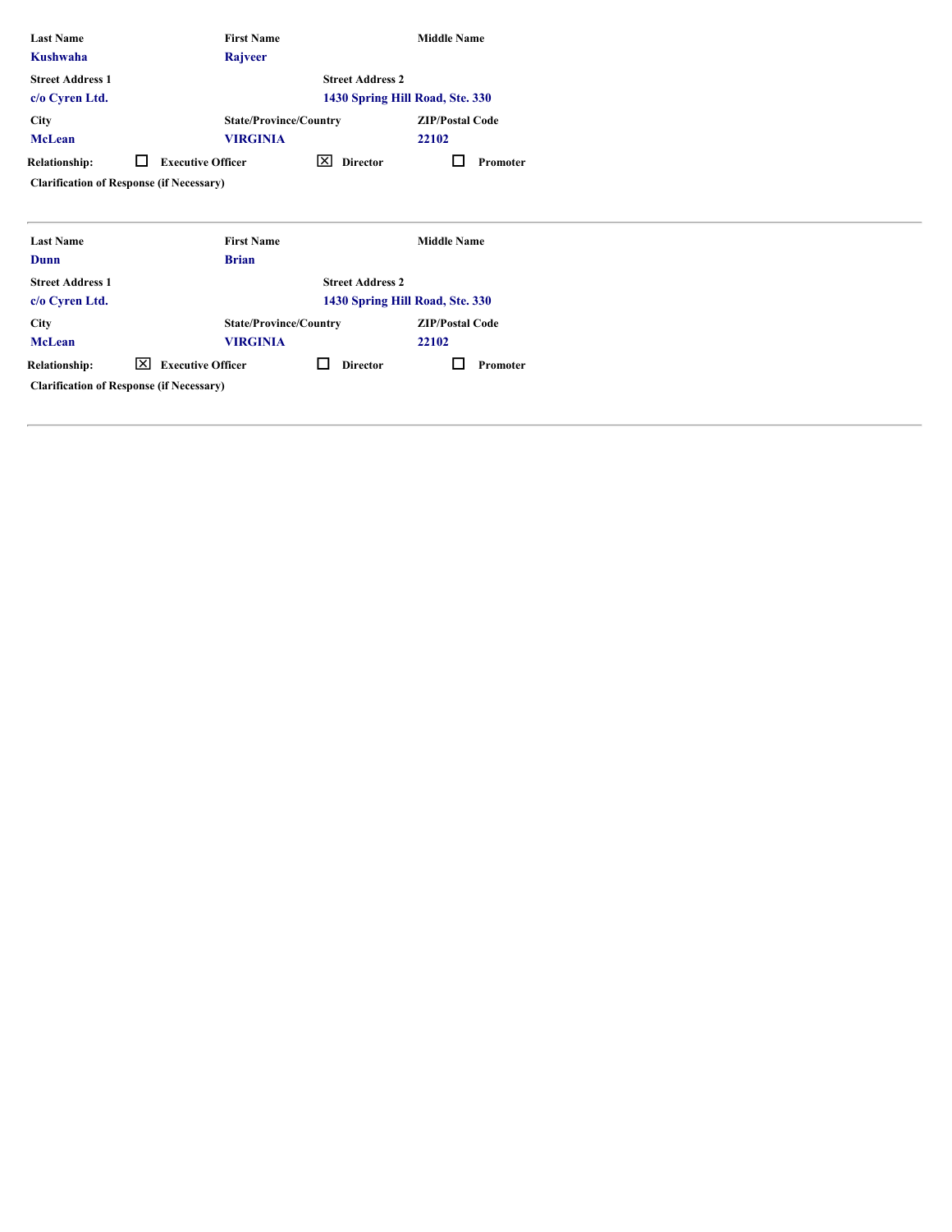|                                    | <b>First Name</b>             |                                                                                                | <b>Middle Name</b>              |
|------------------------------------|-------------------------------|------------------------------------------------------------------------------------------------|---------------------------------|
|                                    | Rajveer                       |                                                                                                |                                 |
|                                    |                               | <b>Street Address 2</b>                                                                        |                                 |
|                                    |                               |                                                                                                | 1430 Spring Hill Road, Ste. 330 |
|                                    |                               |                                                                                                | <b>ZIP/Postal Code</b>          |
|                                    |                               |                                                                                                | 22102                           |
| □                                  |                               | 図<br><b>Director</b>                                                                           | □<br>Promoter                   |
|                                    |                               |                                                                                                |                                 |
|                                    |                               |                                                                                                |                                 |
|                                    |                               |                                                                                                |                                 |
|                                    | <b>First Name</b>             |                                                                                                | <b>Middle Name</b>              |
|                                    | <b>Brian</b>                  |                                                                                                |                                 |
|                                    |                               | <b>Street Address 2</b>                                                                        |                                 |
|                                    |                               |                                                                                                | 1430 Spring Hill Road, Ste. 330 |
|                                    | <b>State/Province/Country</b> |                                                                                                | <b>ZIP/Postal Code</b>          |
|                                    | <b>VIRGINIA</b>               |                                                                                                | 22102                           |
| $\boxed{\times}$ Executive Officer |                               | $\Box$<br><b>Director</b>                                                                      | □<br>Promoter                   |
|                                    |                               | <b>VIRGINIA</b><br><b>Executive Officer</b><br><b>Clarification of Response (if Necessary)</b> | <b>State/Province/Country</b>   |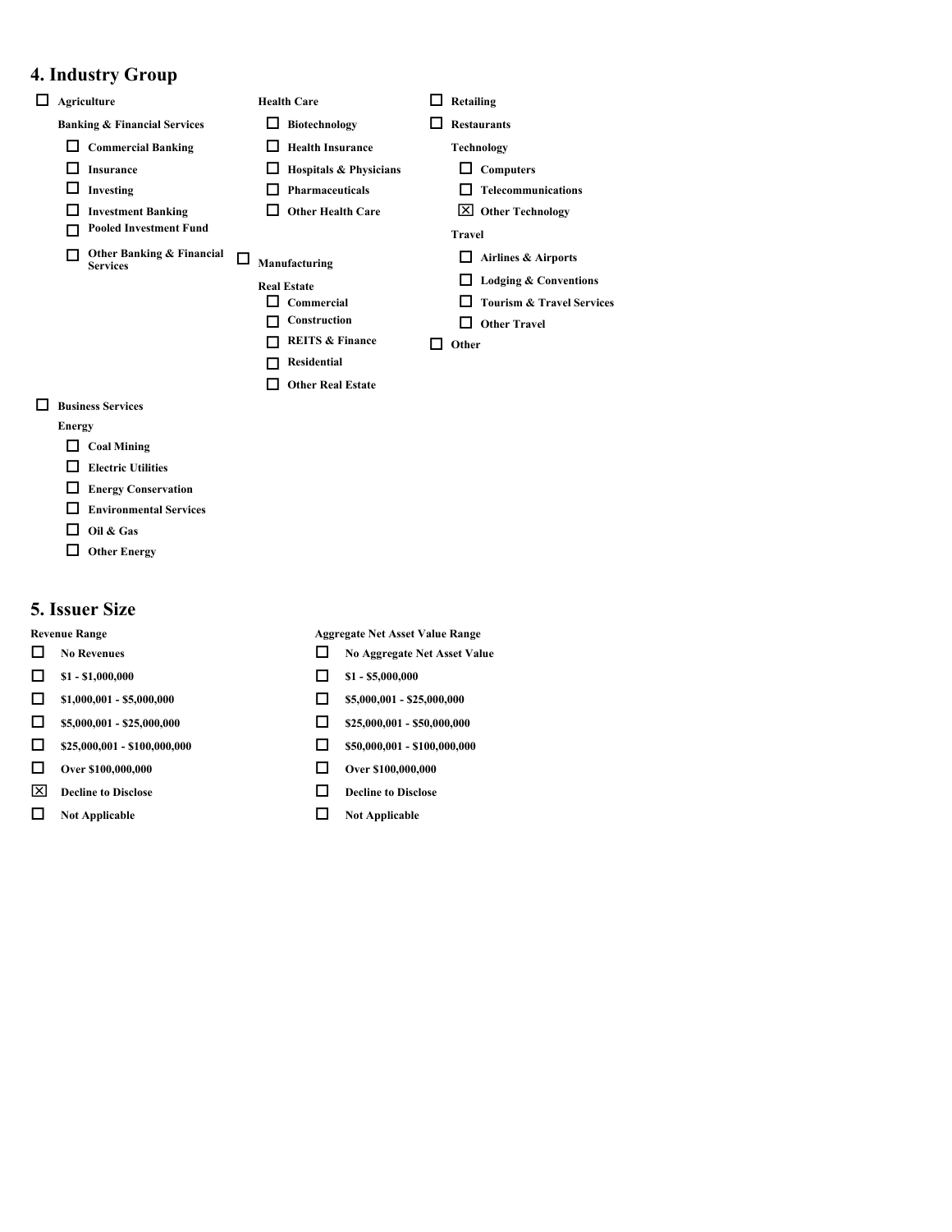# **4. Industry Group**

- o **Agriculture Health Care** o **Retailing Banking & Financial Services D** Biotechnology **D** Restaurants □ Commercial Banking<br>
□ Health Insurance Technology o **Insurance** o **Hospitals & Physicians** o **Computers** o **Investing** o **Pharmaceuticals** o **Telecommunications** o **Investment Banking** o **Other Health Care** x **Other Technology** o **Pooled Investment Fund Travel**  $\Box$  Other Banking & Financial  $\Box$  Manufacturing  $\Box$  Airlines & Airports **Services** o **Manufacturing** o **Airlines & Airports Real Estate Conventions** o **Commercial** o **Tourism & Travel Services**  $\Box$  Construction  $\Box$  Other Travel o **REITS & Finance** o **Other** o **Residential Other Real Estate**
- o **Business Services**

#### **Energy**

- $\Box$  Coal Mining
- $\Box$  Electric Utilities
- **Energy Conservation**
- **Environmental Services**
- $\Box$  Oil & Gas
- $\Box$  Other Energy

### **5. Issuer Size**

- 
- 
- $\Box$  \$1,000,001 \$5,000,000  $\Box$  \$5,000,001 \$25,000,000
- $\Box$  \$5,000,001 \$25,000,000  $\Box$  \$25,000,001 \$50,000,000
- $\Box$  \$25,000,001 \$100,000,000  $\Box$  \$50,000,001 \$100,000,000
- $\Box$  Over \$100,000,000  $\Box$  Over \$100,000,000
- $\boxed{\times}$  **Decline to Disclose □ Decline to Disclose**
- $\Box$  Not Applicable  $\Box$  Not Applicable

**Revenue Range Aggregate Net Asset Value Range**

- **No Revenues No Aggregate Net Asset Value** 
	-
	-
	-
	-
	-
	-
	-

# $\Box$  **\$1 - \$1,000,000**  $\Box$  **\$1 - \$5,000,000**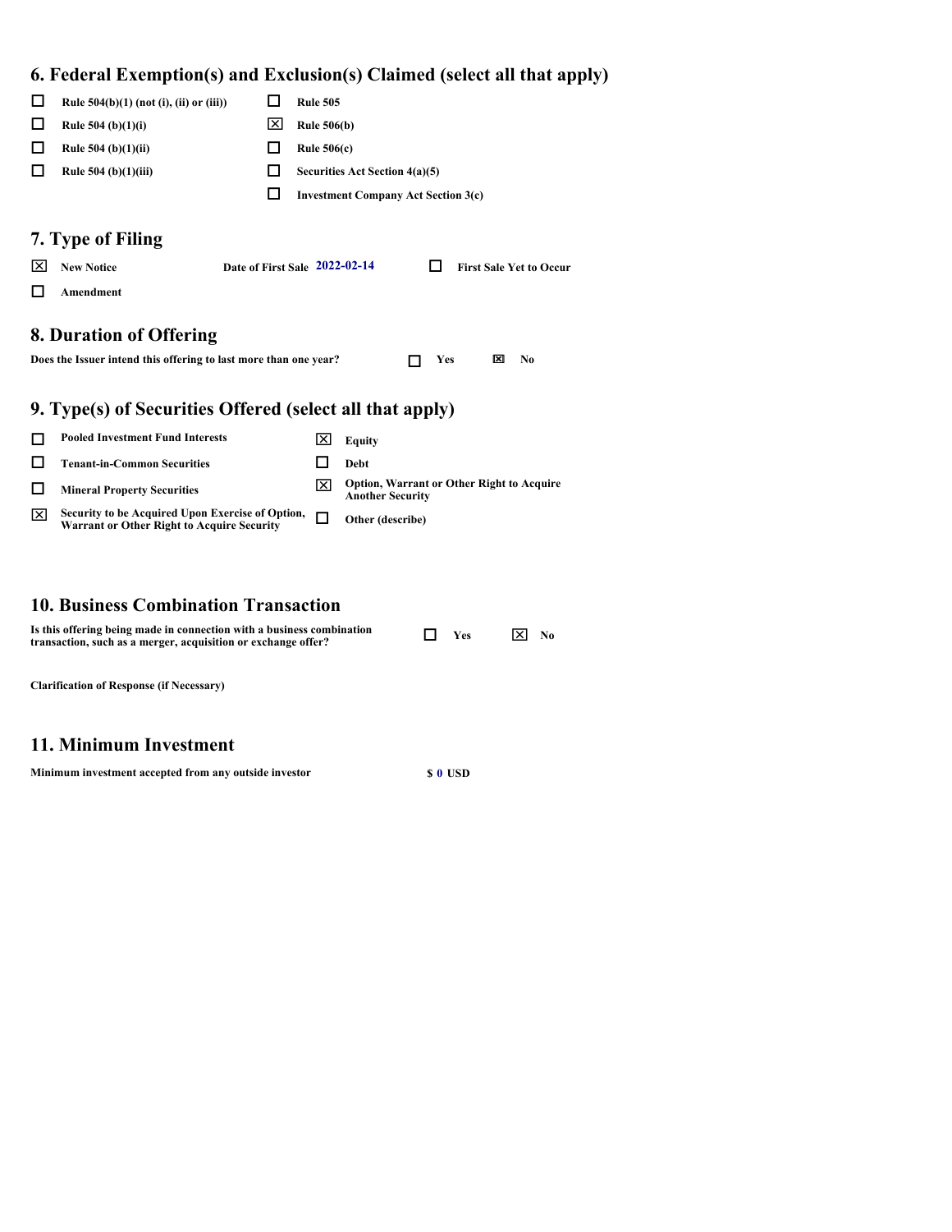# **6. Federal Exemption(s) and Exclusion(s) Claimed (select all that apply)**

|        |                                                                                                       |   |                    | of I caer ar Eachiption(5) and Eachibion(5) Channel (befeel an that apply)  |
|--------|-------------------------------------------------------------------------------------------------------|---|--------------------|-----------------------------------------------------------------------------|
| □      | Rule $504(b)(1)$ (not (i), (ii) or (iii))                                                             | □ | <b>Rule 505</b>    |                                                                             |
| $\Box$ | Rule 504 (b) $(1)(i)$                                                                                 | ⊠ | <b>Rule 506(b)</b> |                                                                             |
| $\Box$ | Rule $504$ (b)(1)(ii)                                                                                 | □ | Rule $506(c)$      |                                                                             |
| $\Box$ | Rule $504$ (b)(1)(iii)                                                                                | □ |                    | Securities Act Section 4(a)(5)                                              |
|        |                                                                                                       | □ |                    | <b>Investment Company Act Section 3(c)</b>                                  |
| ⊠<br>□ | 7. Type of Filing<br>Date of First Sale 2022-02-14<br><b>New Notice</b><br>Amendment                  |   |                    | <b>First Sale Yet to Occur</b><br>$\Box$                                    |
|        | 8. Duration of Offering<br>Does the Issuer intend this offering to last more than one year?           |   |                    | $\boxtimes$<br>$\mathbf{N}$ o<br>п<br>Yes                                   |
|        | 9. Type(s) of Securities Offered (select all that apply)                                              |   |                    |                                                                             |
| □      | <b>Pooled Investment Fund Interests</b>                                                               |   | ⊠                  | Equity                                                                      |
| □      | <b>Tenant-in-Common Securities</b>                                                                    |   | □                  | Debt                                                                        |
| $\Box$ | <b>Mineral Property Securities</b>                                                                    |   | ⊠                  | <b>Option, Warrant or Other Right to Acquire</b><br><b>Another Security</b> |
| ⊠      | Security to be Acquired Upon Exercise of Option,<br><b>Warrant or Other Right to Acquire Security</b> |   | $\Box$             | Other (describe)                                                            |

# **10. Business Combination Transaction**

| Is this offering being made in connection with a business combination<br>transaction, such as a merger, acquisition or exchange offer? | $\mathbf{\nabla}$ Yes | ⊠<br>$N_0$ |  |
|----------------------------------------------------------------------------------------------------------------------------------------|-----------------------|------------|--|
|                                                                                                                                        |                       |            |  |

**Clarification of Response (if Necessary)**

# **11. Minimum Investment**

**Minimum investment accepted from any outside investor \$ 0 USD**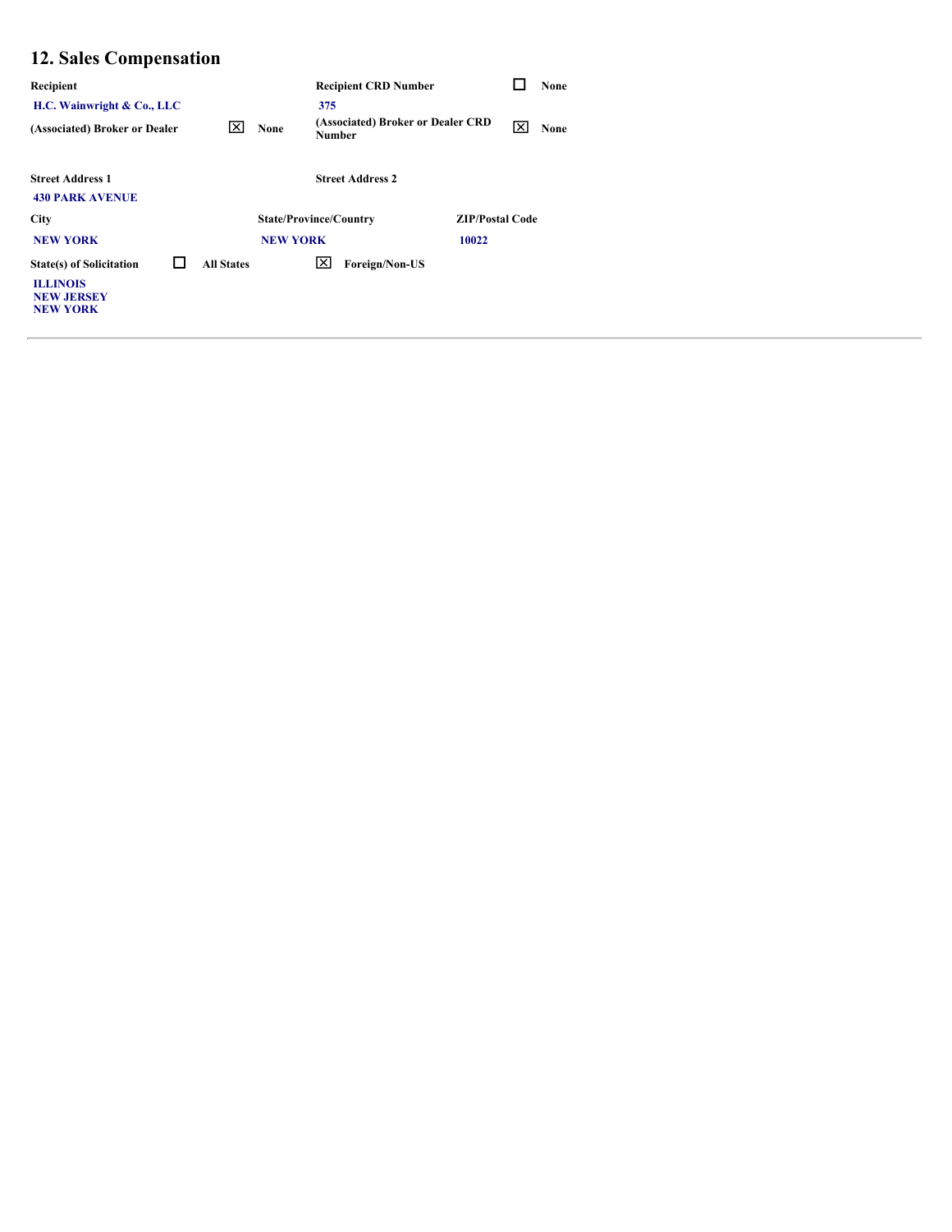# **12. Sales Compensation**

| Recipient                                                                                  |        |                   |                 | <b>Recipient CRD Number</b>                 |                        | □            | None |
|--------------------------------------------------------------------------------------------|--------|-------------------|-----------------|---------------------------------------------|------------------------|--------------|------|
| H.C. Wainwright & Co., LLC                                                                 |        |                   |                 | 375                                         |                        |              |      |
| (Associated) Broker or Dealer                                                              |        | 図                 | None            | (Associated) Broker or Dealer CRD<br>Number |                        | $\mathbf{x}$ | None |
| <b>Street Address 1</b><br><b>430 PARK AVENUE</b>                                          |        |                   |                 | <b>Street Address 2</b>                     |                        |              |      |
| City                                                                                       |        |                   |                 | <b>State/Province/Country</b>               | <b>ZIP/Postal Code</b> |              |      |
| <b>NEW YORK</b>                                                                            |        |                   | <b>NEW YORK</b> |                                             | 10022                  |              |      |
| <b>State(s) of Solicitation</b><br><b>ILLINOIS</b><br><b>NEW JERSEY</b><br><b>NEW YORK</b> | $\Box$ | <b>All States</b> |                 | $\overline{X}$ Foreign/Non-US               |                        |              |      |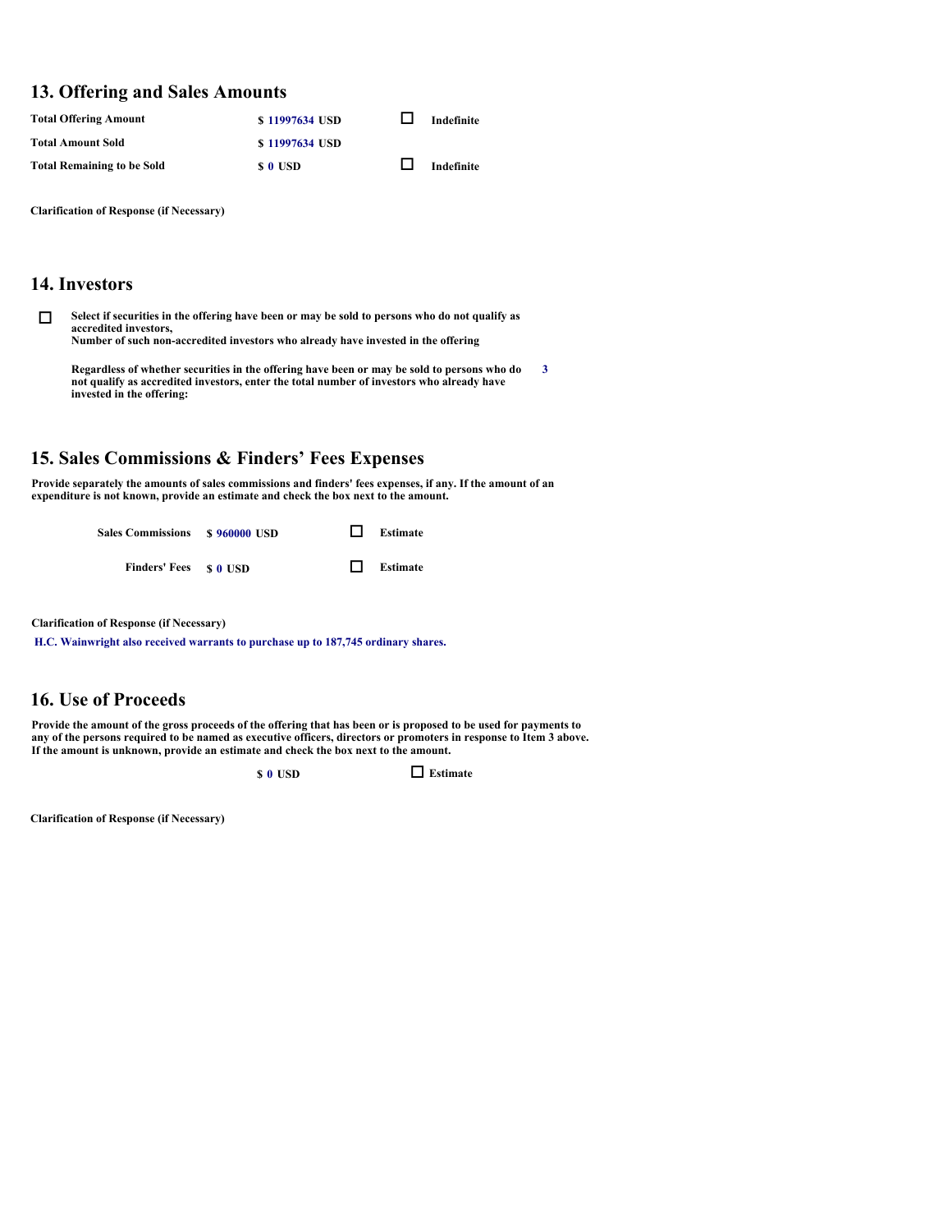#### **13. Offering and Sales Amounts**

| <b>Total Offering Amount</b>      | \$11997634 USD | Indefinite |
|-----------------------------------|----------------|------------|
| <b>Total Amount Sold</b>          | \$11997634 USD |            |
| <b>Total Remaining to be Sold</b> | \$ 0 USD       | Indefinite |

**Clarification of Response (if Necessary)**

## **14. Investors**

**O** Select if securities in the offering have been or may be sold to persons who do not qualify as **accredited investors, Number of such non-accredited investors who already have invested in the offering** 

**Regardless of whether securities in the offering have been or may be sold to persons who do not qualify as accredited investors, enter the total number of investors who already have invested in the offering: 3**

## **15. Sales Commissions & Finders' Fees Expenses**

**Provide separately the amounts of sales commissions and finders' fees expenses, if any. If the amount of an expenditure is not known, provide an estimate and check the box next to the amount.** 



**Clarification of Response (if Necessary)**

**H.C. Wainwright also received warrants to purchase up to 187,745 ordinary shares.**

# **16. Use of Proceeds**

**Provide the amount of the gross proceeds of the offering that has been or is proposed to be used for payments to any of the persons required to be named as executive officers, directors or promoters in response to Item 3 above. If the amount is unknown, provide an estimate and check the box next to the amount.** 

 $\Box$  **Estimate** 

**Clarification of Response (if Necessary)**